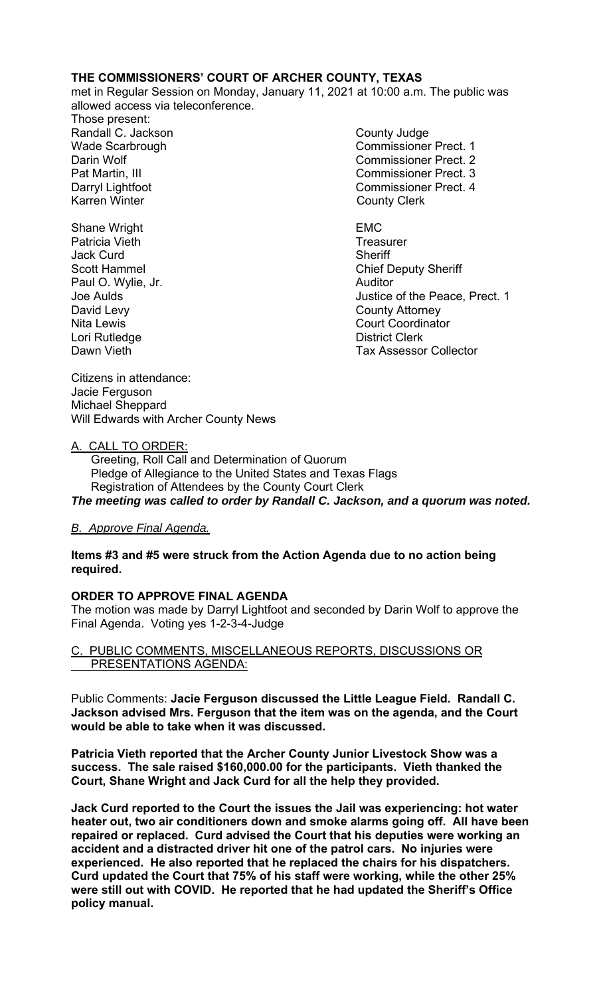## **THE COMMISSIONERS' COURT OF ARCHER COUNTY, TEXAS**

met in Regular Session on Monday, January 11, 2021 at 10:00 a.m. The public was allowed access via teleconference.

Those present: Randall C. Jackson County Judge Karren Winter **County Clerk** 

- Wade Scarbrough Commissioner Prect. 1 Darin Wolf Commissioner Prect. 2 Pat Martin, III Commissioner Prect. 3 Darryl Lightfoot **Commissioner Prect. 4**
- Shane Wright **EMC** Patricia Vieth **Treasurer** Treasurer Jack Curd **Sheriff** Paul O. Wylie, Jr. **Auditor** Auditor David Levy **County Attorney** Nita Lewis **Nita Lewis** Court Coordinator Lori Rutledge **District Clerk**

Scott Hammel **Chief Deputy Sheriff** Joe Aulds Justice of the Peace, Prect. 1 Dawn Vieth **Tax Assessor Collector** 

Citizens in attendance: Jacie Ferguson Michael Sheppard Will Edwards with Archer County News

### A. CALL TO ORDER:

 Greeting, Roll Call and Determination of Quorum Pledge of Allegiance to the United States and Texas Flags Registration of Attendees by the County Court Clerk *The meeting was called to order by Randall C. Jackson, and a quorum was noted.* 

# *B. Approve Final Agenda.*

## **Items #3 and #5 were struck from the Action Agenda due to no action being required.**

### **ORDER TO APPROVE FINAL AGENDA**

The motion was made by Darryl Lightfoot and seconded by Darin Wolf to approve the Final Agenda. Voting yes 1-2-3-4-Judge

C. PUBLIC COMMENTS, MISCELLANEOUS REPORTS, DISCUSSIONS OR PRESENTATIONS AGENDA:

Public Comments: **Jacie Ferguson discussed the Little League Field. Randall C. Jackson advised Mrs. Ferguson that the item was on the agenda, and the Court would be able to take when it was discussed.** 

**Patricia Vieth reported that the Archer County Junior Livestock Show was a success. The sale raised \$160,000.00 for the participants. Vieth thanked the Court, Shane Wright and Jack Curd for all the help they provided.** 

**Jack Curd reported to the Court the issues the Jail was experiencing: hot water heater out, two air conditioners down and smoke alarms going off. All have been repaired or replaced. Curd advised the Court that his deputies were working an accident and a distracted driver hit one of the patrol cars. No injuries were experienced. He also reported that he replaced the chairs for his dispatchers. Curd updated the Court that 75% of his staff were working, while the other 25% were still out with COVID. He reported that he had updated the Sheriff's Office policy manual.**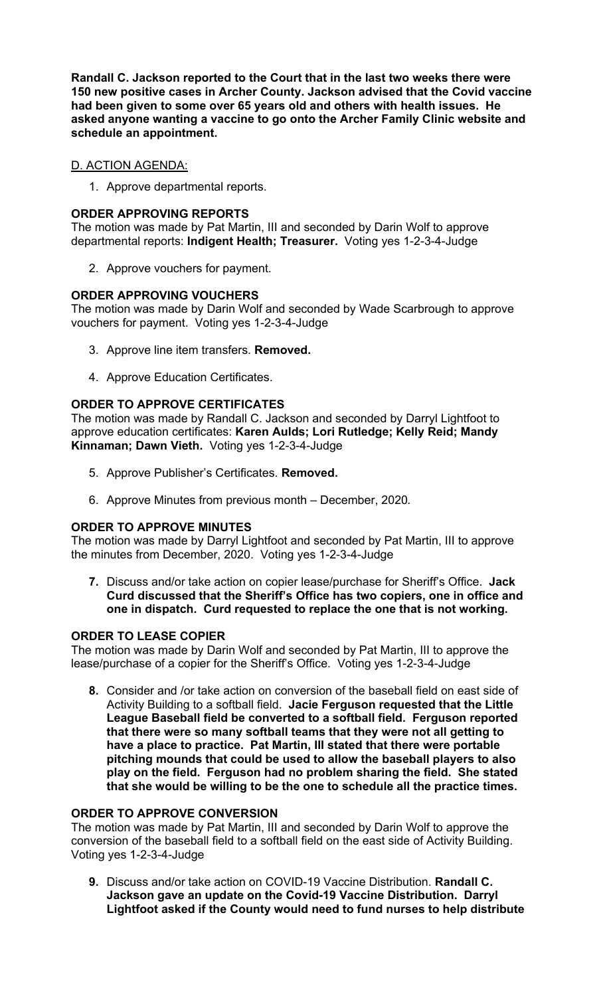**Randall C. Jackson reported to the Court that in the last two weeks there were 150 new positive cases in Archer County. Jackson advised that the Covid vaccine had been given to some over 65 years old and others with health issues. He asked anyone wanting a vaccine to go onto the Archer Family Clinic website and schedule an appointment.** 

# D. ACTION AGENDA:

1. Approve departmental reports.

## **ORDER APPROVING REPORTS**

The motion was made by Pat Martin, III and seconded by Darin Wolf to approve departmental reports: **Indigent Health; Treasurer.** Voting yes 1-2-3-4-Judge

2. Approve vouchers for payment.

## **ORDER APPROVING VOUCHERS**

The motion was made by Darin Wolf and seconded by Wade Scarbrough to approve vouchers for payment. Voting yes 1-2-3-4-Judge

- 3. Approve line item transfers. **Removed.**
- 4. Approve Education Certificates.

# **ORDER TO APPROVE CERTIFICATES**

The motion was made by Randall C. Jackson and seconded by Darryl Lightfoot to approve education certificates: **Karen Aulds; Lori Rutledge; Kelly Reid; Mandy Kinnaman; Dawn Vieth.** Voting yes 1-2-3-4-Judge

- 5. Approve Publisher's Certificates. **Removed.**
- 6. Approve Minutes from previous month December, 2020*.*

# **ORDER TO APPROVE MINUTES**

The motion was made by Darryl Lightfoot and seconded by Pat Martin, III to approve the minutes from December, 2020. Voting yes 1-2-3-4-Judge

**7.** Discuss and/or take action on copier lease/purchase for Sheriff's Office. **Jack Curd discussed that the Sheriff's Office has two copiers, one in office and one in dispatch. Curd requested to replace the one that is not working.** 

### **ORDER TO LEASE COPIER**

The motion was made by Darin Wolf and seconded by Pat Martin, III to approve the lease/purchase of a copier for the Sheriff's Office. Voting yes 1-2-3-4-Judge

**8.** Consider and /or take action on conversion of the baseball field on east side of Activity Building to a softball field. **Jacie Ferguson requested that the Little League Baseball field be converted to a softball field. Ferguson reported that there were so many softball teams that they were not all getting to have a place to practice. Pat Martin, III stated that there were portable pitching mounds that could be used to allow the baseball players to also play on the field. Ferguson had no problem sharing the field. She stated that she would be willing to be the one to schedule all the practice times.** 

### **ORDER TO APPROVE CONVERSION**

The motion was made by Pat Martin, III and seconded by Darin Wolf to approve the conversion of the baseball field to a softball field on the east side of Activity Building. Voting yes 1-2-3-4-Judge

**9.** Discuss and/or take action on COVID-19 Vaccine Distribution. **Randall C. Jackson gave an update on the Covid-19 Vaccine Distribution. Darryl Lightfoot asked if the County would need to fund nurses to help distribute**